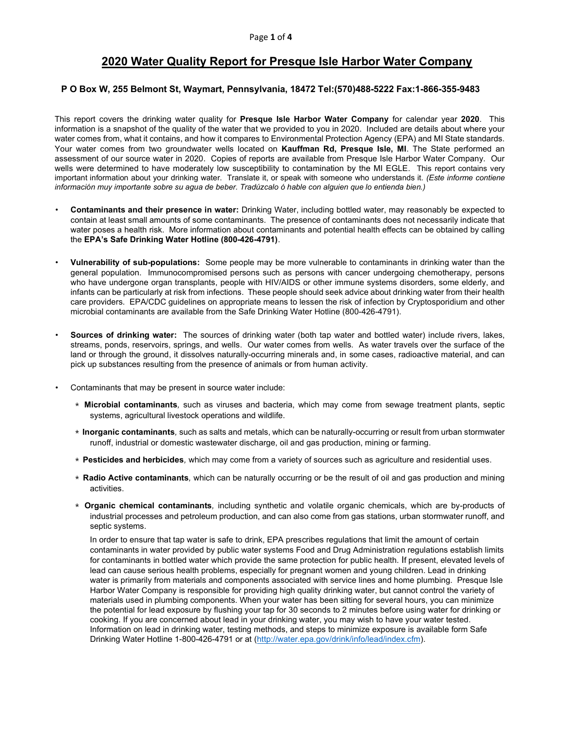# 2020 Water Quality Report for Presque Isle Harbor Water Company

### P O Box W, 255 Belmont St, Waymart, Pennsylvania, 18472 Tel:(570)488-5222 Fax:1-866-355-9483

This report covers the drinking water quality for **Presque Isle Harbor Water Company** for calendar year 2020. This information is a snapshot of the quality of the water that we provided to you in 2020. Included are details about where your water comes from, what it contains, and how it compares to Environmental Protection Agency (EPA) and MI State standards. Your water comes from two groundwater wells located on Kauffman Rd, Presque Isle, MI. The State performed an assessment of our source water in 2020. Copies of reports are available from Presque Isle Harbor Water Company. Our wells were determined to have moderately low susceptibility to contamination by the MI EGLE. This report contains very important information about your drinking water. Translate it, or speak with someone who understands it. (Este informe contiene información muy importante sobre su agua de beber. Tradúzcalo ó hable con alguien que lo entienda bien.)

- Contaminants and their presence in water: Drinking Water, including bottled water, may reasonably be expected to contain at least small amounts of some contaminants. The presence of contaminants does not necessarily indicate that water poses a health risk. More information about contaminants and potential health effects can be obtained by calling the EPA's Safe Drinking Water Hotline (800-426-4791).
- Vulnerability of sub-populations: Some people may be more vulnerable to contaminants in drinking water than the general population. Immunocompromised persons such as persons with cancer undergoing chemotherapy, persons who have undergone organ transplants, people with HIV/AIDS or other immune systems disorders, some elderly, and infants can be particularly at risk from infections. These people should seek advice about drinking water from their health care providers. EPA/CDC guidelines on appropriate means to lessen the risk of infection by Cryptosporidium and other microbial contaminants are available from the Safe Drinking Water Hotline (800-426-4791).
- Sources of drinking water: The sources of drinking water (both tap water and bottled water) include rivers, lakes, streams, ponds, reservoirs, springs, and wells. Our water comes from wells. As water travels over the surface of the land or through the ground, it dissolves naturally-occurring minerals and, in some cases, radioactive material, and can pick up substances resulting from the presence of animals or from human activity.
- Contaminants that may be present in source water include:
	- ∗ Microbial contaminants, such as viruses and bacteria, which may come from sewage treatment plants, septic systems, agricultural livestock operations and wildlife.
	- ∗ Inorganic contaminants, such as salts and metals, which can be naturally-occurring or result from urban stormwater runoff, industrial or domestic wastewater discharge, oil and gas production, mining or farming.
	- ∗ Pesticides and herbicides, which may come from a variety of sources such as agriculture and residential uses.
	- ∗ Radio Active contaminants, which can be naturally occurring or be the result of oil and gas production and mining activities.
	- ∗ Organic chemical contaminants, including synthetic and volatile organic chemicals, which are by-products of industrial processes and petroleum production, and can also come from gas stations, urban stormwater runoff, and septic systems.

 In order to ensure that tap water is safe to drink, EPA prescribes regulations that limit the amount of certain contaminants in water provided by public water systems Food and Drug Administration regulations establish limits for contaminants in bottled water which provide the same protection for public health. If present, elevated levels of lead can cause serious health problems, especially for pregnant women and young children. Lead in drinking water is primarily from materials and components associated with service lines and home plumbing. Presque Isle Harbor Water Company is responsible for providing high quality drinking water, but cannot control the variety of materials used in plumbing components. When your water has been sitting for several hours, you can minimize the potential for lead exposure by flushing your tap for 30 seconds to 2 minutes before using water for drinking or cooking. If you are concerned about lead in your drinking water, you may wish to have your water tested. Information on lead in drinking water, testing methods, and steps to minimize exposure is available form Safe Drinking Water Hotline 1-800-426-4791 or at (http://water.epa.gov/drink/info/lead/index.cfm).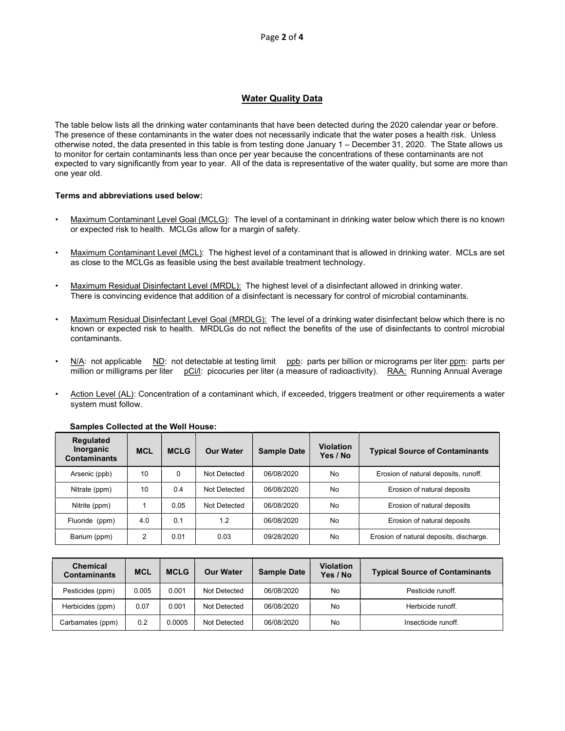## Water Quality Data

The table below lists all the drinking water contaminants that have been detected during the 2020 calendar year or before. The presence of these contaminants in the water does not necessarily indicate that the water poses a health risk. Unless otherwise noted, the data presented in this table is from testing done January 1 – December 31, 2020. The State allows us to monitor for certain contaminants less than once per year because the concentrations of these contaminants are not expected to vary significantly from year to year. All of the data is representative of the water quality, but some are more than one year old.

#### Terms and abbreviations used below:

- Maximum Contaminant Level Goal (MCLG): The level of a contaminant in drinking water below which there is no known or expected risk to health. MCLGs allow for a margin of safety.
- Maximum Contaminant Level (MCL): The highest level of a contaminant that is allowed in drinking water. MCLs are set as close to the MCLGs as feasible using the best available treatment technology.
- Maximum Residual Disinfectant Level (MRDL): The highest level of a disinfectant allowed in drinking water. There is convincing evidence that addition of a disinfectant is necessary for control of microbial contaminants.
- Maximum Residual Disinfectant Level Goal (MRDLG): The level of a drinking water disinfectant below which there is no known or expected risk to health. MRDLGs do not reflect the benefits of the use of disinfectants to control microbial contaminants.
- N/A: not applicable ND: not detectable at testing limit ppb: parts per billion or micrograms per liter ppm: parts per million or milligrams per liter pCi/l: picocuries per liter (a measure of radioactivity). RAA: Running Annual Average
- Action Level (AL): Concentration of a contaminant which, if exceeded, triggers treatment or other requirements a water system must follow.

| <b>Regulated</b><br>Inorganic<br><b>Contaminants</b> | <b>MCL</b> | <b>MCLG</b> | <b>Our Water</b> | <b>Sample Date</b> | <b>Violation</b><br>Yes / No | <b>Typical Source of Contaminants</b>   |
|------------------------------------------------------|------------|-------------|------------------|--------------------|------------------------------|-----------------------------------------|
| Arsenic (ppb)                                        | 10         | 0           | Not Detected     | 06/08/2020         | No                           | Erosion of natural deposits, runoff.    |
| Nitrate (ppm)                                        | 10         | 0.4         | Not Detected     | 06/08/2020         | No                           | Erosion of natural deposits             |
| Nitrite (ppm)                                        |            | 0.05        | Not Detected     | 06/08/2020         | No                           | Erosion of natural deposits             |
| Fluoride (ppm)                                       | 4.0        | 0.1         | 1.2              | 06/08/2020         | No                           | Erosion of natural deposits             |
| Barium (ppm)                                         | 2          | 0.01        | 0.03             | 09/28/2020         | No                           | Erosion of natural deposits, discharge. |

#### Samples Collected at the Well House:

| <b>Chemical</b><br><b>Contaminants</b> | <b>MCL</b> | <b>MCLG</b> | <b>Our Water</b> | <b>Sample Date</b> | <b>Violation</b><br>Yes / No | <b>Typical Source of Contaminants</b> |
|----------------------------------------|------------|-------------|------------------|--------------------|------------------------------|---------------------------------------|
| Pesticides (ppm)                       | 0.005      | 0.001       | Not Detected     | 06/08/2020         | No                           | Pesticide runoff.                     |
| Herbicides (ppm)                       | 0.07       | 0.001       | Not Detected     | 06/08/2020         | No                           | Herbicide runoff.                     |
| Carbamates (ppm)                       | 0.2        | 0.0005      | Not Detected     | 06/08/2020         | No                           | Insecticide runoff.                   |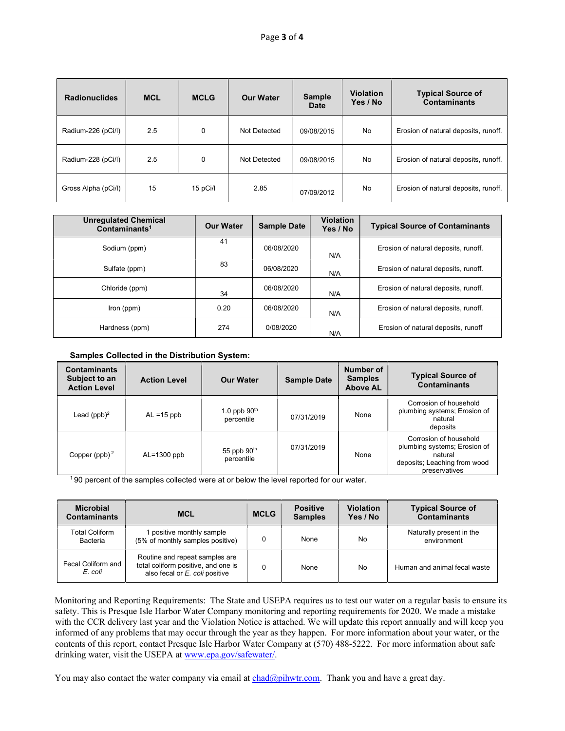| <b>Radionuclides</b> | <b>MCL</b> | <b>MCLG</b> | <b>Our Water</b> | <b>Sample</b><br><b>Date</b> | <b>Violation</b><br>Yes / No | <b>Typical Source of</b><br><b>Contaminants</b> |
|----------------------|------------|-------------|------------------|------------------------------|------------------------------|-------------------------------------------------|
| Radium-226 (pCi/l)   | 2.5        | $\mathbf 0$ | Not Detected     | 09/08/2015                   | No                           | Erosion of natural deposits, runoff.            |
| Radium-228 (pCi/l)   | 2.5        | $\mathbf 0$ | Not Detected     | 09/08/2015                   | No                           | Erosion of natural deposits, runoff.            |
| Gross Alpha (pCi/l)  | 15         | 15 pCi/l    | 2.85             | 07/09/2012                   | No                           | Erosion of natural deposits, runoff.            |

| <b>Unregulated Chemical</b><br>Contaminants <sup>1</sup> | <b>Our Water</b> | <b>Sample Date</b> | <b>Violation</b><br>Yes / No | <b>Typical Source of Contaminants</b> |
|----------------------------------------------------------|------------------|--------------------|------------------------------|---------------------------------------|
| Sodium (ppm)                                             | 41               | 06/08/2020         | N/A                          | Erosion of natural deposits, runoff.  |
| Sulfate (ppm)                                            | 83               | 06/08/2020         | N/A                          | Erosion of natural deposits, runoff.  |
| Chloride (ppm)                                           | 34               | 06/08/2020         | N/A                          | Erosion of natural deposits, runoff.  |
| Iron (ppm)                                               | 0.20             | 06/08/2020         | N/A                          | Erosion of natural deposits, runoff.  |
| Hardness (ppm)                                           | 274              | 0/08/2020          | N/A                          | Erosion of natural deposits, runoff   |

Samples Collected in the Distribution System:

| <b>Contaminants</b><br>Subject to an<br><b>Action Level</b> | <b>Action Level</b> | <b>Our Water</b>             | <b>Sample Date</b> | Number of<br><b>Samples</b><br><b>Above AL</b> | <b>Typical Source of</b><br><b>Contaminants</b>                                                                    |
|-------------------------------------------------------------|---------------------|------------------------------|--------------------|------------------------------------------------|--------------------------------------------------------------------------------------------------------------------|
| Lead $(ppb)^2$                                              | $AL = 15$ ppb       | 1.0 ppb $90th$<br>percentile | 07/31/2019         | None                                           | Corrosion of household<br>plumbing systems; Erosion of<br>natural<br>deposits                                      |
| Copper (ppb) $2$                                            | $AL=1300$ ppb       | 55 ppb $90th$<br>percentile  | 07/31/2019         | None                                           | Corrosion of household<br>plumbing systems; Erosion of<br>natural<br>deposits; Leaching from wood<br>preservatives |

1 90 percent of the samples collected were at or below the level reported for our water.

| <b>Microbial</b><br><b>Contaminants</b> | <b>MCL</b>                                                                                              | <b>MCLG</b> | <b>Positive</b><br><b>Samples</b> | <b>Violation</b><br>Yes / No | <b>Typical Source of</b><br><b>Contaminants</b> |
|-----------------------------------------|---------------------------------------------------------------------------------------------------------|-------------|-----------------------------------|------------------------------|-------------------------------------------------|
| <b>Total Coliform</b><br>Bacteria       | positive monthly sample<br>(5% of monthly samples positive)                                             |             | None                              | No                           | Naturally present in the<br>environment         |
| Fecal Coliform and<br>E. coli           | Routine and repeat samples are<br>total coliform positive, and one is<br>also fecal or E. coli positive | ∩           | None                              | No                           | Human and animal fecal waste                    |

Monitoring and Reporting Requirements: The State and USEPA requires us to test our water on a regular basis to ensure its safety. This is Presque Isle Harbor Water Company monitoring and reporting requirements for 2020. We made a mistake with the CCR delivery last year and the Violation Notice is attached. We will update this report annually and will keep you informed of any problems that may occur through the year as they happen. For more information about your water, or the contents of this report, contact Presque Isle Harbor Water Company at (570) 488-5222. For more information about safe drinking water, visit the USEPA at www.epa.gov/safewater/.

You may also contact the water company via email at chad@pihwtr.com. Thank you and have a great day.